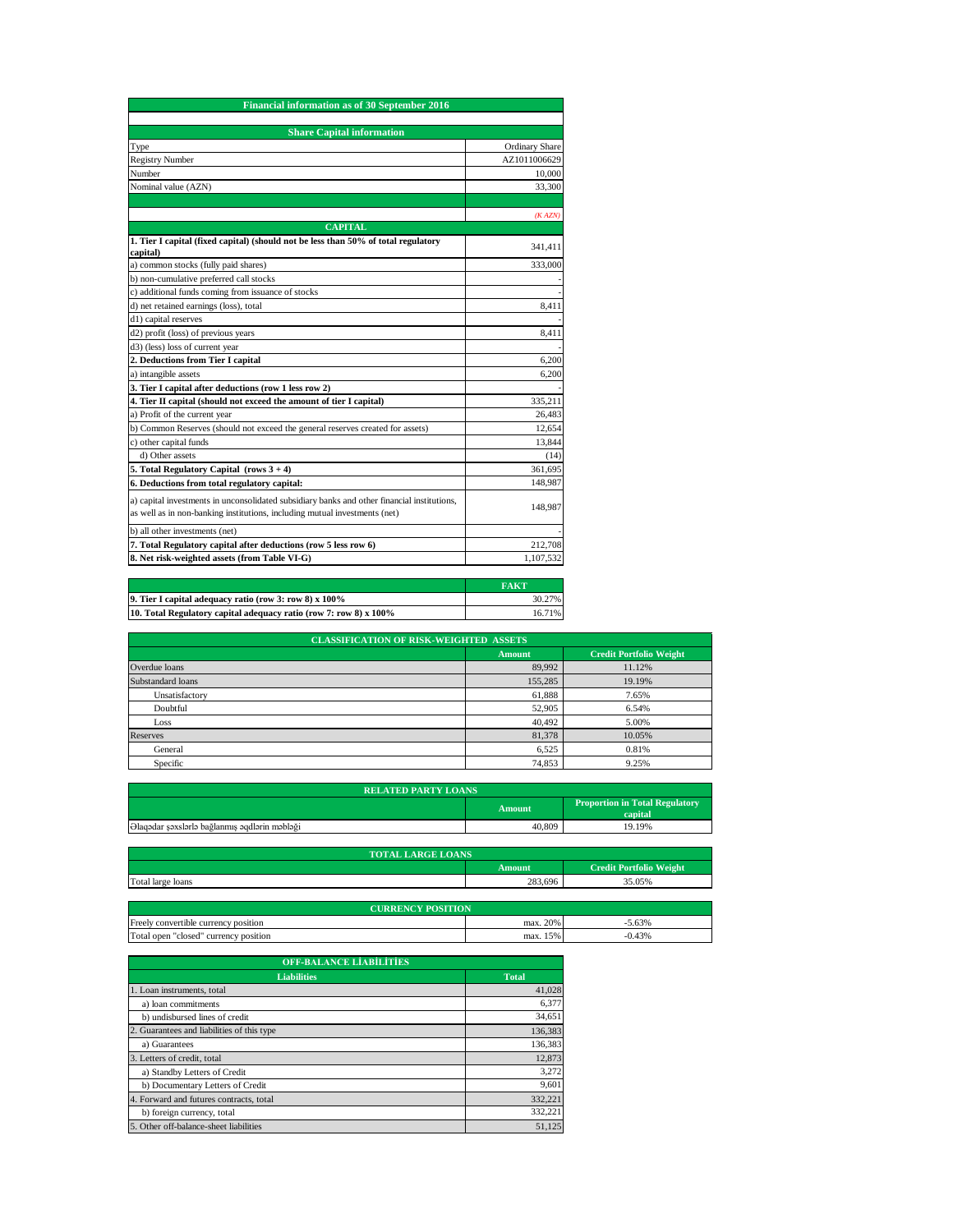| <b>Financial information as of 30 September 2016</b>                                                                                                                      |                       |
|---------------------------------------------------------------------------------------------------------------------------------------------------------------------------|-----------------------|
|                                                                                                                                                                           |                       |
| <b>Share Capital information</b>                                                                                                                                          |                       |
| Type                                                                                                                                                                      | <b>Ordinary Share</b> |
| <b>Registry Number</b>                                                                                                                                                    | AZ1011006629          |
| Number                                                                                                                                                                    | 10,000                |
| Nominal value (AZN)                                                                                                                                                       | 33,300                |
|                                                                                                                                                                           |                       |
|                                                                                                                                                                           | (KAZN)                |
| <b>CAPITAL</b>                                                                                                                                                            |                       |
| 1. Tier I capital (fixed capital) (should not be less than 50% of total regulatory<br>capital)                                                                            | 341,411               |
| a) common stocks (fully paid shares)                                                                                                                                      | 333,000               |
| b) non-cumulative preferred call stocks                                                                                                                                   |                       |
| c) additional funds coming from issuance of stocks                                                                                                                        |                       |
| d) net retained earnings (loss), total                                                                                                                                    | 8,411                 |
| d1) capital reserves                                                                                                                                                      |                       |
| d2) profit (loss) of previous years                                                                                                                                       | 8,411                 |
| d3) (less) loss of current year                                                                                                                                           |                       |
| 2. Deductions from Tier I capital                                                                                                                                         | 6,200                 |
| a) intangible assets                                                                                                                                                      | 6.200                 |
| 3. Tier I capital after deductions (row 1 less row 2)                                                                                                                     |                       |
| 4. Tier II capital (should not exceed the amount of tier I capital)                                                                                                       | 335.211               |
| a) Profit of the current year                                                                                                                                             | 26,483                |
| b) Common Reserves (should not exceed the general reserves created for assets)                                                                                            | 12,654                |
| c) other capital funds                                                                                                                                                    | 13,844                |
| d) Other assets                                                                                                                                                           | (14)                  |
| 5. Total Regulatory Capital (rows 3 + 4)                                                                                                                                  | 361,695               |
| 6. Deductions from total regulatory capital:                                                                                                                              | 148,987               |
| a) capital investments in unconsolidated subsidiary banks and other financial institutions,<br>as well as in non-banking institutions, including mutual investments (net) | 148,987               |
| b) all other investments (net)                                                                                                                                            |                       |
| 7. Total Regulatory capital after deductions (row 5 less row 6)                                                                                                           | 212,708               |
| 8. Net risk-weighted assets (from Table VI-G)                                                                                                                             | 1,107,532             |

|                                                                   | <b>FAKT</b> |
|-------------------------------------------------------------------|-------------|
| 9. Tier I capital adequacy ratio (row 3: row 8) x 100%            | 30.27%      |
| 10. Total Regulatory capital adequacy ratio (row 7: row 8) x 100% | 16.71%      |

| <b>CLASSIFICATION OF RISK-WEIGHTED ASSETS</b> |               |                                |  |
|-----------------------------------------------|---------------|--------------------------------|--|
|                                               | <b>Amount</b> | <b>Credit Portfolio Weight</b> |  |
| Overdue loans                                 | 89,992        | 11.12%                         |  |
| Substandard loans                             | 155,285       | 19.19%                         |  |
| Unsatisfactory                                | 61,888        | 7.65%                          |  |
| Doubtful                                      | 52,905        | 6.54%                          |  |
| Loss                                          | 40,492        | 5.00%                          |  |
| <b>Reserves</b>                               | 81,378        | 10.05%                         |  |
| General                                       | 6,525         | 0.81%                          |  |
| Specific                                      | 74,853        | 9.25%                          |  |

| <b>RELATED PARTY LOANS</b>                    |        |                                                  |
|-----------------------------------------------|--------|--------------------------------------------------|
|                                               | Amount | <b>Proportion in Total Regulatory</b><br>capital |
| Əlaqədar şəxslərlə bağlanmış əqdlərin məbləği | 40,809 | 19.19%                                           |

| <b>TOTAL LARGE LOANS</b> |         |                                |
|--------------------------|---------|--------------------------------|
|                          | A mount | <b>Credit Portfolio Weight</b> |
| Total large loans        | 283.696 | 35.05%                         |

| <b>CURRENCY POSITION</b>              |             |          |
|---------------------------------------|-------------|----------|
| Freely convertible currency position  | 20%<br>max. | .63%     |
| Total open "closed" currency position | 15%<br>max. | $-0.43%$ |

| <b>OFF-BALANCE LIABILITIES</b>             |              |
|--------------------------------------------|--------------|
| <b>Liabilities</b>                         | <b>Total</b> |
| 1. Loan instruments, total                 | 41,028       |
| a) loan commitments                        | 6.377        |
| b) undisbursed lines of credit             | 34,651       |
| 2. Guarantees and liabilities of this type | 136,383      |
| a) Guarantees                              | 136,383      |
| 3. Letters of credit, total                | 12.873       |
| a) Standby Letters of Credit               | 3.272        |
| b) Documentary Letters of Credit           | 9,601        |
| 4. Forward and futures contracts, total    | 332.221      |
| b) foreign currency, total                 | 332.221      |
| 5. Other off-balance-sheet liabilities     | 51.125       |